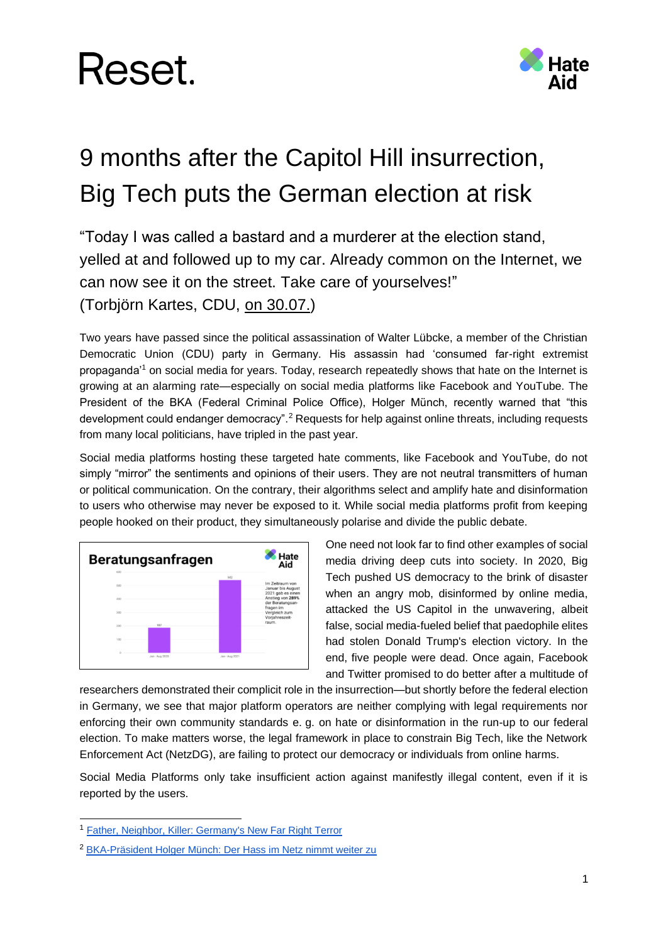

### 9 months after the Capitol Hill insurrection, Big Tech puts the German election at risk

"Today I was called a bastard and a murderer at the election stand, yelled at and followed up to my car. Already common on the Internet, we can now see it on the street. Take care of yourselves!" (Torbjörn Kartes, CDU, [on 30.07.\)](https://twitter.com/KartesMdB/status/1421142753283608584)

Two years have passed since the political assassination of Walter Lübcke, a member of the Christian Democratic Union (CDU) party in Germany. His assassin had 'consumed far-right extremist propaganda'<sup>1</sup> on social media for years. Today, research repeatedly shows that hate on the Internet is growing at an alarming rate—especially on social media platforms like Facebook and YouTube. The President of the BKA (Federal Criminal Police Office), Holger Münch, recently warned that "this development could endanger democracy".<sup>2</sup> Requests for help against online threats, including requests from many local politicians, have tripled in the past year.

Social media platforms hosting these targeted hate comments, like Facebook and YouTube, do not simply "mirror" the sentiments and opinions of their users. They are not neutral transmitters of human or political communication. On the contrary, their algorithms select and amplify hate and disinformation to users who otherwise may never be exposed to it. While social media platforms profit from keeping people hooked on their product, they simultaneously polarise and divide the public debate.



One need not look far to find other examples of social media driving deep cuts into society. In 2020, Big Tech pushed US democracy to the brink of disaster when an angry mob, disinformed by online media, attacked the US Capitol in the unwavering, albeit false, social media-fueled belief that paedophile elites had stolen Donald Trump's election victory. In the end, five people were dead. Once again, Facebook and Twitter promised to do better after a multitude of

researchers demonstrated their complicit role in the insurrection—but shortly before the federal election in Germany, we see that major platform operators are neither complying with legal requirements nor enforcing their own community standards e. g. on hate or disinformation in the run-up to our federal election. To make matters worse, the legal framework in place to constrain Big Tech, like the Network Enforcement Act (NetzDG), are failing to protect our democracy or individuals from online harms.

Social Media Platforms only take insufficient action against manifestly illegal content, even if it is reported by the users.

<sup>1</sup> [Father, Neighbor, Killer: Germany's New Far Right Terror](https://www.spiegel.de/international/germany/father-neighbor-killer-germany-s-new-far-right-terror-a-1273689.html)

<sup>&</sup>lt;sup>2</sup> [BKA-Präsident Holger Münch: Der Hass im Netz nimmt weiter zu](https://www.rnd.de/politik/bka-prasident-holger-munch-der-hass-nimmt-weiter-zu-XO4L23HLPVC5VLA7CVPEFEGAOA.html)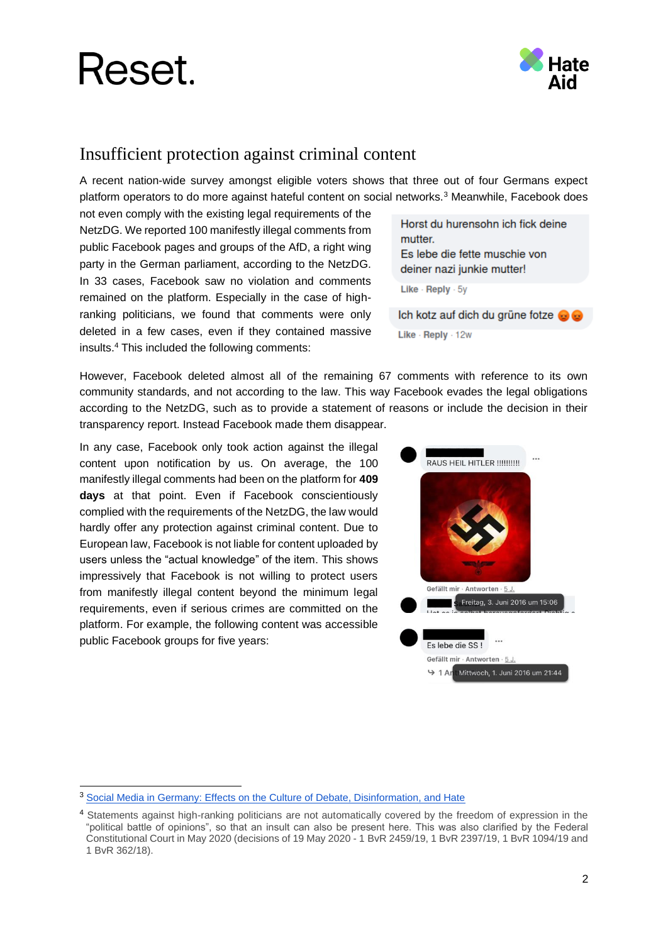

#### Insufficient protection against criminal content

A recent nation-wide survey amongst eligible voters shows that three out of four Germans expect platform operators to do more against hateful content on social networks.<sup>3</sup> Meanwhile, Facebook does

not even comply with the existing legal requirements of the NetzDG. We reported 100 manifestly illegal comments from public Facebook pages and groups of the AfD, a right wing party in the German parliament, according to the NetzDG. In 33 cases, Facebook saw no violation and comments remained on the platform. Especially in the case of highranking politicians, we found that comments were only deleted in a few cases, even if they contained massive insults.<sup>4</sup> This included the following comments:

Horst du hurensohn ich fick deine mutter. Es lebe die fette muschie von deiner nazi junkie mutter! Like - Reply - 5y Ich kotz auf dich du grüne fotze . ...

Like - Reply - 12w

However, Facebook deleted almost all of the remaining 67 comments with reference to its own community standards, and not according to the law. This way Facebook evades the legal obligations according to the NetzDG, such as to provide a statement of reasons or include the decision in their transparency report. Instead Facebook made them disappear.

In any case, Facebook only took action against the illegal content upon notification by us. On average, the 100 manifestly illegal comments had been on the platform for **409 days** at that point. Even if Facebook conscientiously complied with the requirements of the NetzDG, the law would hardly offer any protection against criminal content. Due to European law, Facebook is not liable for content uploaded by users unless the "actual knowledge" of the item. This shows impressively that Facebook is not willing to protect users from manifestly illegal content beyond the minimum legal requirements, even if serious crimes are committed on the platform. For example, the following content was accessible public Facebook groups for five years:



<sup>&</sup>lt;sup>3</sup> [Social Media in Germany: Effects on the Culture of Debate, Disinformation, and Hate](https://www.reset.tech/resources/social-media-in-germany-effects-on-the-culture-of-debate-disinformation-and-hate/)

<sup>4</sup> Statements against high-ranking politicians are not automatically covered by the freedom of expression in the "political battle of opinions", so that an insult can also be present here. This was also clarified by the Federal Constitutional Court in May 2020 (decisions of 19 May 2020 - 1 BvR 2459/19, 1 BvR 2397/19, 1 BvR 1094/19 and 1 BvR 362/18).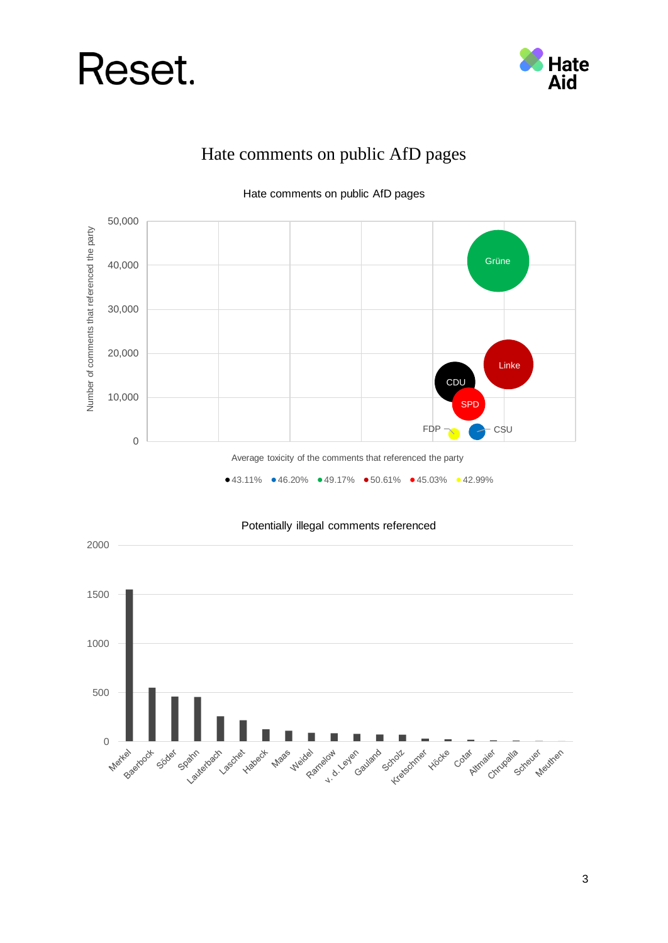



#### Hate comments on public AfD pages







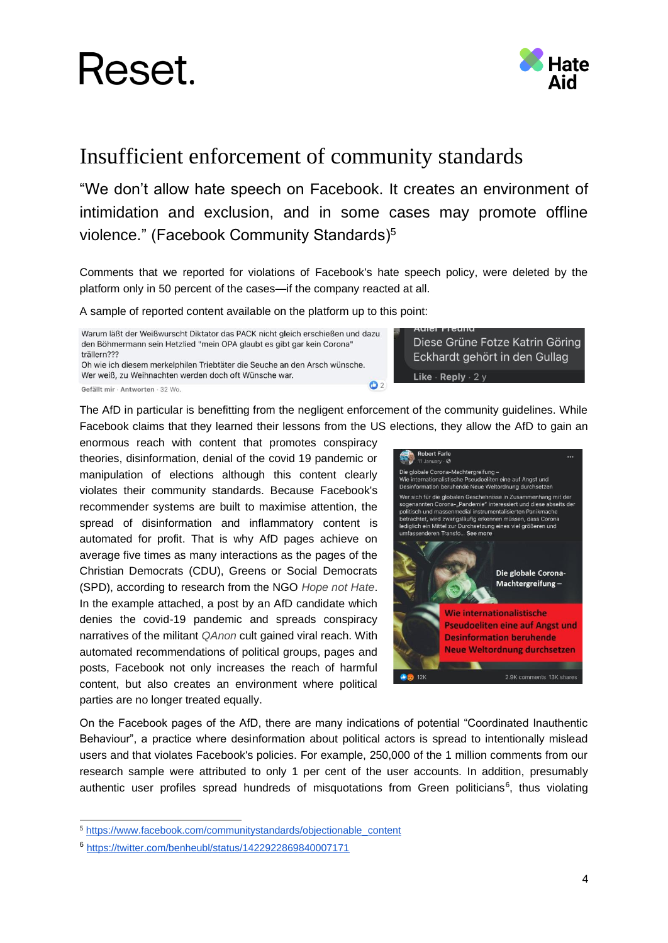



#### Insufficient enforcement of community standards

"We don't allow hate speech on Facebook. It creates an environment of intimidation and exclusion, and in some cases may promote offline violence." (Facebook Community Standards)<sup>5</sup>

Comments that we reported for violations of Facebook's hate speech policy, were deleted by the platform only in 50 percent of the cases—if the company reacted at all.

A sample of reported content available on the platform up to this point:

Warum läßt der Weißwurscht Diktator das PACK nicht gleich erschießen und dazu den Böhmermann sein Hetzlied "mein OPA glaubt es gibt gar kein Corona" trällern??? Oh wie ich diesem merkelphilen Triebtäter die Seuche an den Arsch wünsche.

Wer weiß, zu Weihnachten werden doch oft Wünsche war.

Gefällt mir · Antworten · 32 Wo

Eckhardt gehört in den Gullag Like · Reply · 2 y  $O<sub>2</sub>$ 

The AfD in particular is benefitting from the negligent enforcement of the community guidelines. While Facebook claims that they learned their lessons from the US elections, they allow the AfD to gain an

enormous reach with content that promotes conspiracy theories, disinformation, denial of the covid 19 pandemic or manipulation of elections although this content clearly violates their community standards. Because Facebook's recommender systems are built to maximise attention, the spread of disinformation and inflammatory content is automated for profit. That is why AfD pages achieve on average five times as many interactions as the pages of the Christian Democrats (CDU), Greens or Social Democrats (SPD), according to research from the NGO *Hope not Hate*. In the example attached, a post by an AfD candidate which denies the covid-19 pandemic and spreads conspiracy narratives of the militant *QAnon* cult gained viral reach. With automated recommendations of political groups, pages and posts, Facebook not only increases the reach of harmful content, but also creates an environment where political parties are no longer treated equally.



Diese Grüne Fotze Katrin Göring

On the Facebook pages of the AfD, there are many indications of potential "Coordinated Inauthentic Behaviour", a practice where desinformation about political actors is spread to intentionally mislead users and that violates Facebook's policies. For example, 250,000 of the 1 million comments from our research sample were attributed to only 1 per cent of the user accounts. In addition, presumably authentic user profiles spread hundreds of misquotations from Green politicians<sup>6</sup>, thus violating

<sup>5</sup> [https://www.facebook.com/communitystandards/objectionable\\_content](https://www.facebook.com/communitystandards/objectionable_content)

<sup>6</sup> <https://twitter.com/benheubl/status/1422922869840007171>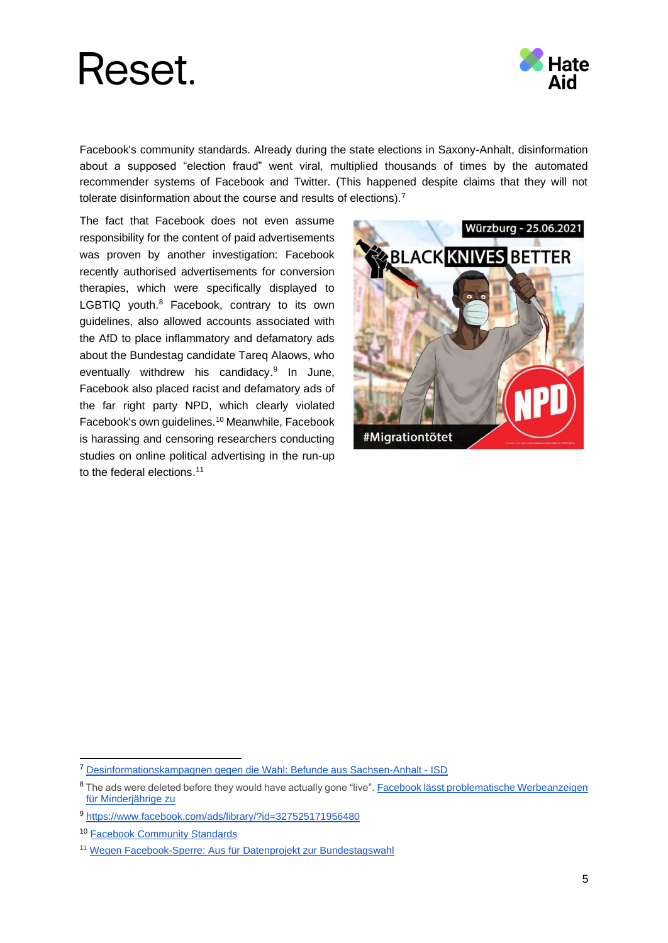

Facebook's community standards. Already during the state elections in Saxony-Anhalt, disinformation about a supposed "election fraud" went viral, multiplied thousands of times by the automated recommender systems of Facebook and Twitter. (This happened despite claims that they will not tolerate disinformation about the course and results of elections).<sup>7</sup>

The fact that Facebook does not even assume responsibility for the content of paid advertisements was proven by another investigation: Facebook recently authorised advertisements for conversion therapies, which were specifically displayed to LGBTIQ youth.<sup>8</sup> Facebook, contrary to its own guidelines, also allowed accounts associated with the AfD to place inflammatory and defamatory ads about the Bundestag candidate Tareq Alaows, who eventually withdrew his candidacy.<sup>9</sup> In June, Facebook also placed racist and defamatory ads of the far right party NPD, which clearly violated Facebook's own guidelines.<sup>10</sup> Meanwhile, Facebook is harassing and censoring researchers conducting studies on online political advertising in the run-up to the federal elections. 11



<sup>7</sup> [Desinformationskampagnen gegen die Wahl: Befunde aus Sachsen-Anhalt -](https://www.isdglobal.org/isd-publications/desinformationskampagnen-gegen-die-wahl-befunde-aus-sachsen-anhalt/) ISD

<sup>&</sup>lt;sup>8</sup> The ads were deleted before they would have actually gone "live". Facebook lässt problematische Werbeanzeigen [für Minderjährige zu](https://www.welt.de/politik/deutschland/article231447857/Facebook-laesst-problematische-Werbeanzeigen-fuer-Minderjaehrige-zu.html)

<sup>9</sup> <https://www.facebook.com/ads/library/?id=327525171956480>

<sup>10</sup> [Facebook Community Standards](https://www.facebook.com/communitystandards/hate_speech)

<sup>11</sup> [Wegen Facebook-Sperre: Aus für Datenprojekt zur Bundestagswahl](https://www.ndr.de/fernsehen/sendungen/zapp/Facebook-sperrt-US-Forscher-Aus-fuer-Datenprojekt-zur-Bundestagswahl,daten188.html)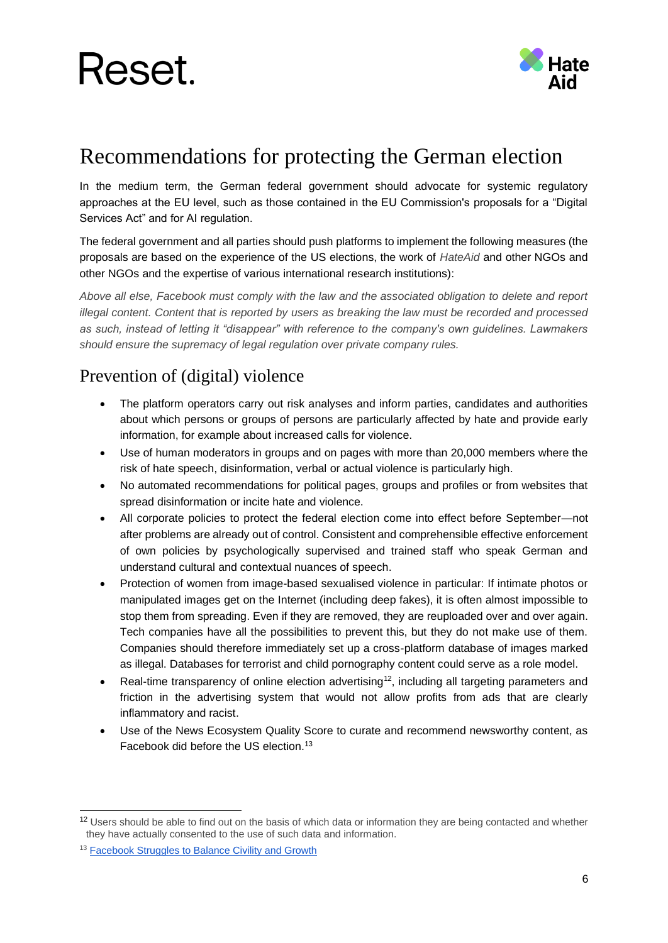

### Recommendations for protecting the German election

In the medium term, the German federal government should advocate for systemic regulatory approaches at the EU level, such as those contained in the EU Commission's proposals for a "Digital Services Act" and for AI regulation.

The federal government and all parties should push platforms to implement the following measures (the proposals are based on the experience of the US elections, the work of *HateAid* and other NGOs and other NGOs and the expertise of various international research institutions):

*Above all else, Facebook must comply with the law and the associated obligation to delete and report illegal content. Content that is reported by users as breaking the law must be recorded and processed as such, instead of letting it "disappear" with reference to the company's own guidelines. Lawmakers should ensure the supremacy of legal regulation over private company rules.*

#### Prevention of (digital) violence

- The platform operators carry out risk analyses and inform parties, candidates and authorities about which persons or groups of persons are particularly affected by hate and provide early information, for example about increased calls for violence.
- Use of human moderators in groups and on pages with more than 20,000 members where the risk of hate speech, disinformation, verbal or actual violence is particularly high.
- No automated recommendations for political pages, groups and profiles or from websites that spread disinformation or incite hate and violence.
- All corporate policies to protect the federal election come into effect before September—not after problems are already out of control. Consistent and comprehensible effective enforcement of own policies by psychologically supervised and trained staff who speak German and understand cultural and contextual nuances of speech.
- Protection of women from image-based sexualised violence in particular: If intimate photos or manipulated images get on the Internet (including deep fakes), it is often almost impossible to stop them from spreading. Even if they are removed, they are reuploaded over and over again. Tech companies have all the possibilities to prevent this, but they do not make use of them. Companies should therefore immediately set up a cross-platform database of images marked as illegal. Databases for terrorist and child pornography content could serve as a role model.
- Real-time transparency of online election advertising<sup>12</sup>, including all targeting parameters and friction in the advertising system that would not allow profits from ads that are clearly inflammatory and racist.
- Use of the News Ecosystem Quality Score to curate and recommend newsworthy content, as Facebook did before the US election.<sup>13</sup>

<sup>&</sup>lt;sup>12</sup> Users should be able to find out on the basis of which data or information they are being contacted and whether they have actually consented to the use of such data and information.

<sup>&</sup>lt;sup>13</sup> [Facebook Struggles to Balance Civility and Growth](https://www.nytimes.com/2020/11/24/technology/facebook-election-misinformation.html)